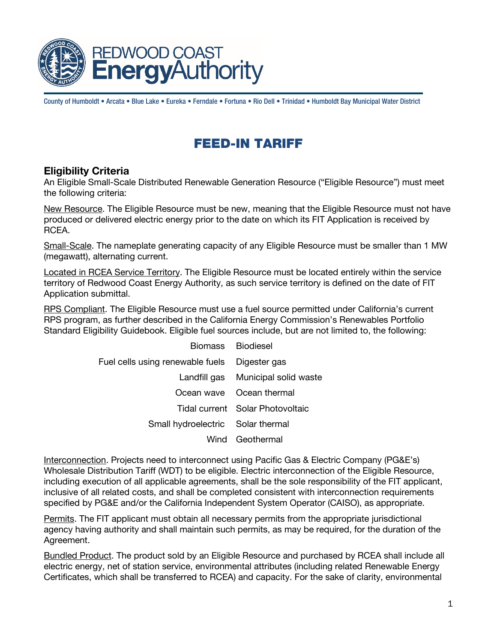

County of Humboldt • Arcata • Blue Lake • Eureka • Ferndale • Fortuna • Rio Dell • Trinidad • Humboldt Bay Municipal Water District

# FEED-IN TARIFF

## Eligibility Criteria

An Eligible Small-Scale Distributed Renewable Generation Resource ("Eligible Resource") must meet the following criteria:

New Resource. The Eligible Resource must be new, meaning that the Eligible Resource must not have produced or delivered electric energy prior to the date on which its FIT Application is received by RCEA.

Small-Scale. The nameplate generating capacity of any Eligible Resource must be smaller than 1 MW (megawatt), alternating current.

Located in RCEA Service Territory. The Eligible Resource must be located entirely within the service territory of Redwood Coast Energy Authority, as such service territory is defined on the date of FIT Application submittal.

RPS Compliant. The Eligible Resource must use a fuel source permitted under California's current RPS program, as further described in the [California Energy Commission's Renewables Portfolio](http://www.energy.ca.gov/2013publications/CEC-300-2013-005/CEC-300-2013-005-ED7-CMF-REV.pdf)  [Standard Eligibility Guidebook.](http://www.energy.ca.gov/2013publications/CEC-300-2013-005/CEC-300-2013-005-ED7-CMF-REV.pdf) Eligible fuel sources include, but are not limited to, the following:

| Biomass Biodiesel                              |                                    |
|------------------------------------------------|------------------------------------|
| Fuel cells using renewable fuels  Digester gas |                                    |
|                                                | Landfill gas Municipal solid waste |
|                                                | Ocean wave Ocean thermal           |
|                                                | Tidal current Solar Photovoltaic   |
| Small hydroelectric Solar thermal              |                                    |
|                                                | Wind Geothermal                    |

Interconnection. Projects need to interconnect using Pacific Gas & Electric Company (PG&E's) Wholesale Distribution Tariff (WDT) to be eligible. Electric interconnection of the Eligible Resource, including execution of all applicable agreements, shall be the sole responsibility of the FIT applicant, inclusive of all related costs, and shall be completed consistent with interconnection requirements specified by PG&E and/or the California Independent System Operator (CAISO), as appropriate.

Permits. The FIT applicant must obtain all necessary permits from the appropriate jurisdictional agency having authority and shall maintain such permits, as may be required, for the duration of the Agreement.

Bundled Product. The product sold by an Eligible Resource and purchased by RCEA shall include all electric energy, net of station service, environmental attributes (including related Renewable Energy Certificates, which shall be transferred to RCEA) and capacity. For the sake of clarity, environmental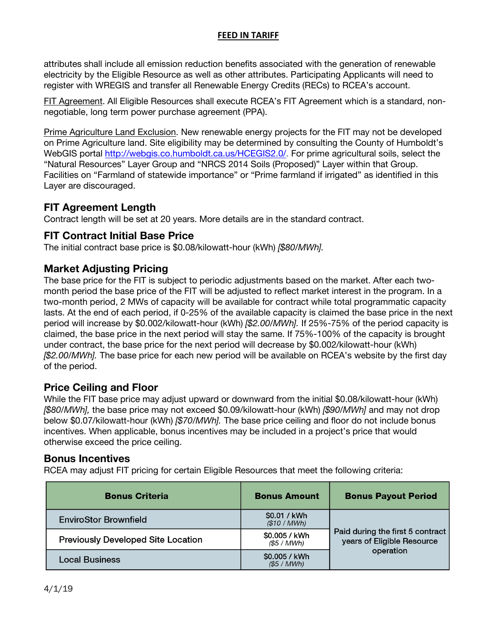#### **FEED IN TARIFF**

attributes shall include all emission reduction benefits associated with the generation of renewable electricity by the Eligible Resource as well as other attributes. Participating Applicants will need to register with WREGIS and transfer all Renewable Energy Credits (RECs) to RCEA's account.

FIT Agreement. All Eligible Resources shall execute RCEA's FIT Agreement which is a standard, nonnegotiable, long term power purchase agreement (PPA).

Prime Agriculture Land Exclusion. New renewable energy projects for the FIT may not be developed on Prime Agriculture land. Site eligibility may be determined by consulting the County of Humboldt's WebGIS portal [http://webgis.co.humboldt.ca.us/HCEGIS2.0/.](https://na01.safelinks.protection.outlook.com/?url=http%3A%2F%2Fwebgis.co.humboldt.ca.us%2FHCEGIS2.0%2F&data=02%7C01%7Cjpmiller%40co.humboldt.ca.us%7Ca1d701dbd8c84465365208d68bc95f36%7Cc00ae2b64fe844f198637b1adf4b27cb%7C0%7C0%7C636850094373862647&sdata=hzPD7Fp%2F06YVDNIvSjVRwkIVN94pC6KY0f7PiR4Np2I%3D&reserved=0) For prime agricultural soils, select the "Natural Resources" Layer Group and "NRCS 2014 Soils (Proposed)" Layer within that Group. Facilities on "Farmland of statewide importance" or "Prime farmland if irrigated" as identified in this Layer are discouraged.

## FIT Agreement Length

Contract length will be set at 20 years. More details are in the standard contract.

## FIT Contract Initial Base Price

The initial contract base price is \$0.08/kilowatt-hour (kWh) [\$80/MWh].

## Market Adjusting Pricing

The base price for the FIT is subject to periodic adjustments based on the market. After each twomonth period the base price of the FIT will be adjusted to reflect market interest in the program. In a two-month period, 2 MWs of capacity will be available for contract while total programmatic capacity lasts. At the end of each period, if 0-25% of the available capacity is claimed the base price in the next period will increase by \$0.002/kilowatt-hour (kWh) [\$2.00/MWh]. If 25%-75% of the period capacity is claimed, the base price in the next period will stay the same. If 75%-100% of the capacity is brought under contract, the base price for the next period will decrease by \$0.002/kilowatt-hour (kWh) [\$2.00/MWh]. The base price for each new period will be available on RCEA's website by the first day of the period.

## Price Ceiling and Floor

While the FIT base price may adjust upward or downward from the initial \$0.08/kilowatt-hour (kWh) [\$80/MWh], the base price may not exceed \$0.09/kilowatt-hour (kWh) [\$90/MWh] and may not drop below \$0.07/kilowatt-hour (kWh) (\$70/*MWh*]. The base price ceiling and floor do not include bonus incentives. When applicable, bonus incentives may be included in a project's price that would otherwise exceed the price ceiling.

### Bonus Incentives

RCEA may adjust FIT pricing for certain Eligible Resources that meet the following criteria:

| <b>Bonus Criteria</b>                     | <b>Bonus Amount</b>          | <b>Bonus Payout Period</b>                                                  |  |
|-------------------------------------------|------------------------------|-----------------------------------------------------------------------------|--|
| <b>EnviroStor Brownfield</b>              | \$0.01 / kWh<br>(\$10 / MWh) | Paid during the first 5 contract<br>years of Eligible Resource<br>operation |  |
| <b>Previously Developed Site Location</b> | \$0.005 / kWh<br>(S5 / MWh)  |                                                                             |  |
| <b>Local Business</b>                     | \$0.005 / kWh<br>(S5 / MWh)  |                                                                             |  |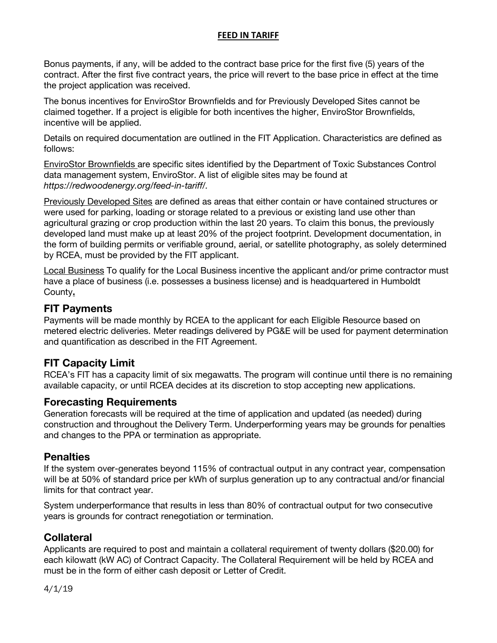### **FEED IN TARIFF**

Bonus payments, if any, will be added to the contract base price for the first five (5) years of the contract. After the first five contract years, the price will revert to the base price in effect at the time the project application was received.

The bonus incentives for EnviroStor Brownfields and for Previously Developed Sites cannot be claimed together. If a project is eligible for both incentives the higher, EnviroStor Brownfields, incentive will be applied.

Details on required documentation are outlined in the FIT Application. Characteristics are defined as follows:

EnviroStor Brownfields are specific sites identified by the Department of Toxic Substances Control data management system, EnviroStor. A list of eligible sites may be found at https://redwoodenergy.org/feed-in-tariff/.

Previously Developed Sites are defined as areas that either contain or have contained structures or were used for parking, loading or storage related to a previous or existing land use other than agricultural grazing or crop production within the last 20 years. To claim this bonus, the previously developed land must make up at least 20% of the project footprint. Development documentation, in the form of building permits or verifiable ground, aerial, or satellite photography, as solely determined by RCEA, must be provided by the FIT applicant.

Local Business To qualify for the Local Business incentive the applicant and/or prime contractor must have a place of business (i.e. possesses a business license) and is headquartered in Humboldt County.

### FIT Payments

Payments will be made monthly by RCEA to the applicant for each Eligible Resource based on metered electric deliveries. Meter readings delivered by PG&E will be used for payment determination and quantification as described in the FIT Agreement.

## FIT Capacity Limit

RCEA's FIT has a capacity limit of six megawatts. The program will continue until there is no remaining available capacity, or until RCEA decides at its discretion to stop accepting new applications.

### Forecasting Requirements

Generation forecasts will be required at the time of application and updated (as needed) during construction and throughout the Delivery Term. Underperforming years may be grounds for penalties and changes to the PPA or termination as appropriate.

#### **Penalties**

If the system over-generates beyond 115% of contractual output in any contract year, compensation will be at 50% of standard price per kWh of surplus generation up to any contractual and/or financial limits for that contract year.

System underperformance that results in less than 80% of contractual output for two consecutive years is grounds for contract renegotiation or termination.

### **Collateral**

Applicants are required to post and maintain a collateral requirement of twenty dollars (\$20.00) for each kilowatt (kW AC) of Contract Capacity. The Collateral Requirement will be held by RCEA and must be in the form of either cash deposit or Letter of Credit.